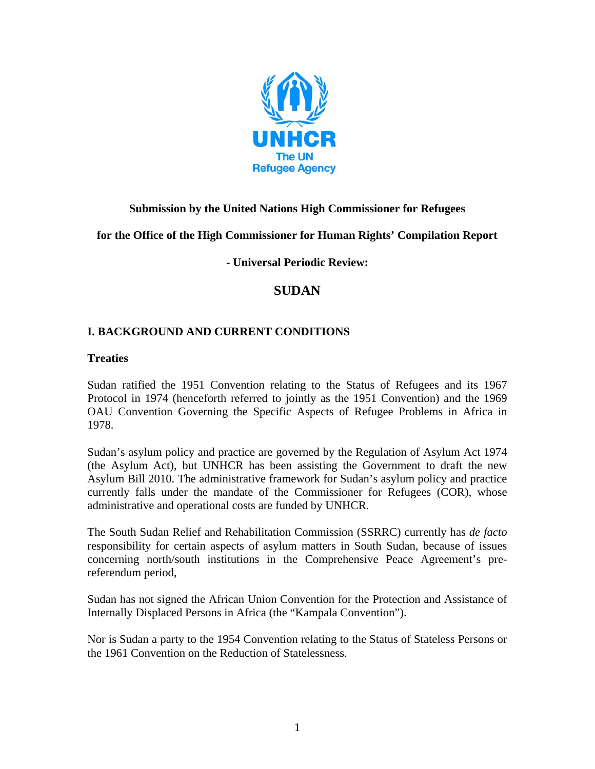

# **Submission by the United Nations High Commissioner for Refugees**

**for the Office of the High Commissioner for Human Rights' Compilation Report** 

**- Universal Periodic Review:** 

# **SUDAN**

### **I. BACKGROUND AND CURRENT CONDITIONS**

#### **Treaties**

Sudan ratified the 1951 Convention relating to the Status of Refugees and its 1967 Protocol in 1974 (henceforth referred to jointly as the 1951 Convention) and the 1969 OAU Convention Governing the Specific Aspects of Refugee Problems in Africa in 1978.

Sudan's asylum policy and practice are governed by the Regulation of Asylum Act 1974 (the Asylum Act), but UNHCR has been assisting the Government to draft the new Asylum Bill 2010. The administrative framework for Sudan's asylum policy and practice currently falls under the mandate of the Commissioner for Refugees (COR), whose administrative and operational costs are funded by UNHCR.

The South Sudan Relief and Rehabilitation Commission (SSRRC) currently has *de facto* responsibility for certain aspects of asylum matters in South Sudan, because of issues concerning north/south institutions in the Comprehensive Peace Agreement's prereferendum period,

Sudan has not signed the African Union Convention for the Protection and Assistance of Internally Displaced Persons in Africa (the "Kampala Convention").

Nor is Sudan a party to the 1954 Convention relating to the Status of Stateless Persons or the 1961 Convention on the Reduction of Statelessness.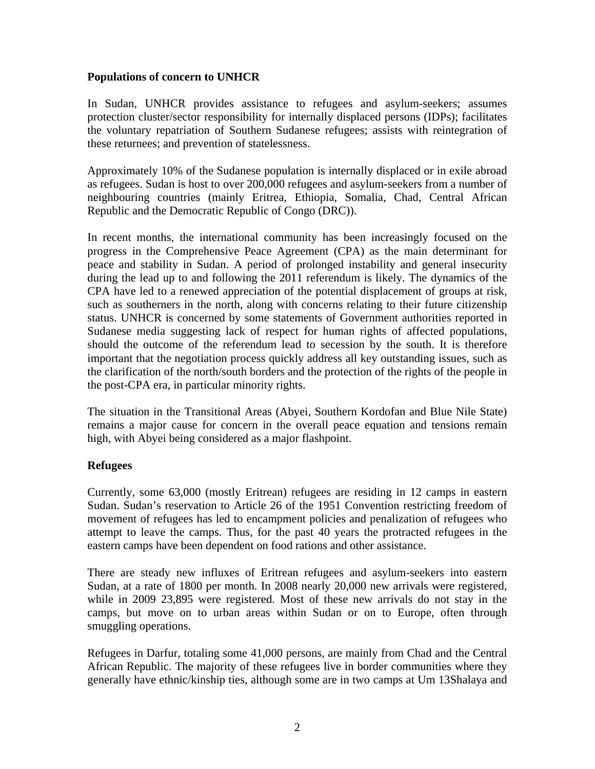#### **Populations of concern to UNHCR**

In Sudan, UNHCR provides assistance to refugees and asylum-seekers; assumes protection cluster/sector responsibility for internally displaced persons (IDPs); facilitates the voluntary repatriation of Southern Sudanese refugees; assists with reintegration of these returnees; and prevention of statelessness.

Approximately 10% of the Sudanese population is internally displaced or in exile abroad as refugees. Sudan is host to over 200,000 refugees and asylum-seekers from a number of neighbouring countries (mainly Eritrea, Ethiopia, Somalia, Chad, Central African Republic and the Democratic Republic of Congo (DRC)).

In recent months, the international community has been increasingly focused on the progress in the Comprehensive Peace Agreement (CPA) as the main determinant for peace and stability in Sudan. A period of prolonged instability and general insecurity during the lead up to and following the 2011 referendum is likely. The dynamics of the CPA have led to a renewed appreciation of the potential displacement of groups at risk, such as southerners in the north, along with concerns relating to their future citizenship status. UNHCR is concerned by some statements of Government authorities reported in Sudanese media suggesting lack of respect for human rights of affected populations, should the outcome of the referendum lead to secession by the south. It is therefore important that the negotiation process quickly address all key outstanding issues, such as the clarification of the north/south borders and the protection of the rights of the people in the post-CPA era, in particular minority rights.

The situation in the Transitional Areas (Abyei, Southern Kordofan and Blue Nile State) remains a major cause for concern in the overall peace equation and tensions remain high, with Abyei being considered as a major flashpoint.

### **Refugees**

Currently, some 63,000 (mostly Eritrean) refugees are residing in 12 camps in eastern Sudan. Sudan's reservation to Article 26 of the 1951 Convention restricting freedom of movement of refugees has led to encampment policies and penalization of refugees who attempt to leave the camps. Thus, for the past 40 years the protracted refugees in the eastern camps have been dependent on food rations and other assistance.

There are steady new influxes of Eritrean refugees and asylum-seekers into eastern Sudan, at a rate of 1800 per month. In 2008 nearly 20,000 new arrivals were registered, while in 2009 23,895 were registered. Most of these new arrivals do not stay in the camps, but move on to urban areas within Sudan or on to Europe, often through smuggling operations.

Refugees in Darfur, totaling some 41,000 persons, are mainly from Chad and the Central African Republic. The majority of these refugees live in border communities where they generally have ethnic/kinship ties, although some are in two camps at Um 13Shalaya and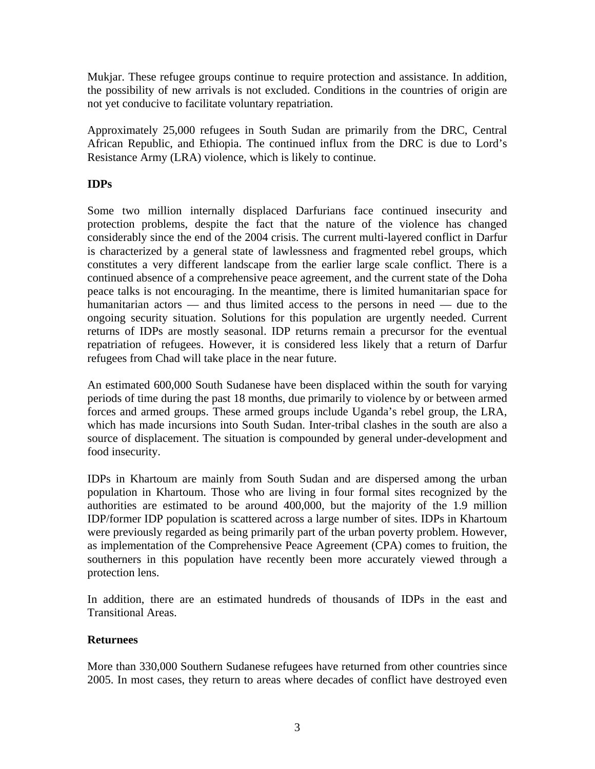Mukjar. These refugee groups continue to require protection and assistance. In addition, the possibility of new arrivals is not excluded. Conditions in the countries of origin are not yet conducive to facilitate voluntary repatriation.

Approximately 25,000 refugees in South Sudan are primarily from the DRC, Central African Republic, and Ethiopia. The continued influx from the DRC is due to Lord's Resistance Army (LRA) violence, which is likely to continue.

# **IDPs**

Some two million internally displaced Darfurians face continued insecurity and protection problems, despite the fact that the nature of the violence has changed considerably since the end of the 2004 crisis. The current multi-layered conflict in Darfur is characterized by a general state of lawlessness and fragmented rebel groups, which constitutes a very different landscape from the earlier large scale conflict. There is a continued absence of a comprehensive peace agreement, and the current state of the Doha peace talks is not encouraging. In the meantime, there is limited humanitarian space for humanitarian actors — and thus limited access to the persons in need — due to the ongoing security situation. Solutions for this population are urgently needed. Current returns of IDPs are mostly seasonal. IDP returns remain a precursor for the eventual repatriation of refugees. However, it is considered less likely that a return of Darfur refugees from Chad will take place in the near future.

An estimated 600,000 South Sudanese have been displaced within the south for varying periods of time during the past 18 months, due primarily to violence by or between armed forces and armed groups. These armed groups include Uganda's rebel group, the LRA, which has made incursions into South Sudan. Inter-tribal clashes in the south are also a source of displacement. The situation is compounded by general under-development and food insecurity.

IDPs in Khartoum are mainly from South Sudan and are dispersed among the urban population in Khartoum. Those who are living in four formal sites recognized by the authorities are estimated to be around 400,000, but the majority of the 1.9 million IDP/former IDP population is scattered across a large number of sites. IDPs in Khartoum were previously regarded as being primarily part of the urban poverty problem. However, as implementation of the Comprehensive Peace Agreement (CPA) comes to fruition, the southerners in this population have recently been more accurately viewed through a protection lens.

In addition, there are an estimated hundreds of thousands of IDPs in the east and Transitional Areas.

### **Returnees**

More than 330,000 Southern Sudanese refugees have returned from other countries since 2005. In most cases, they return to areas where decades of conflict have destroyed even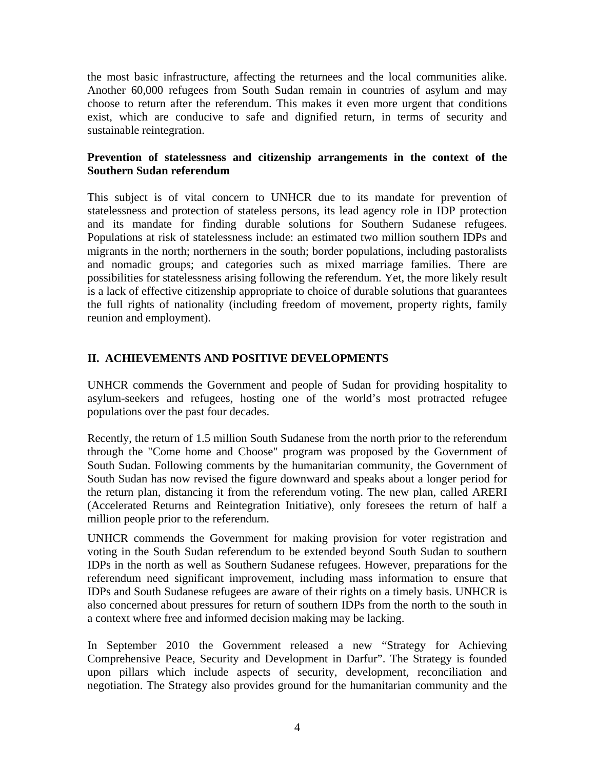the most basic infrastructure, affecting the returnees and the local communities alike. Another 60,000 refugees from South Sudan remain in countries of asylum and may choose to return after the referendum. This makes it even more urgent that conditions exist, which are conducive to safe and dignified return, in terms of security and sustainable reintegration.

#### **Prevention of statelessness and citizenship arrangements in the context of the Southern Sudan referendum**

This subject is of vital concern to UNHCR due to its mandate for prevention of statelessness and protection of stateless persons, its lead agency role in IDP protection and its mandate for finding durable solutions for Southern Sudanese refugees. Populations at risk of statelessness include: an estimated two million southern IDPs and migrants in the north; northerners in the south; border populations, including pastoralists and nomadic groups; and categories such as mixed marriage families. There are possibilities for statelessness arising following the referendum. Yet, the more likely result is a lack of effective citizenship appropriate to choice of durable solutions that guarantees the full rights of nationality (including freedom of movement, property rights, family reunion and employment).

# **II. ACHIEVEMENTS AND POSITIVE DEVELOPMENTS**

UNHCR commends the Government and people of Sudan for providing hospitality to asylum-seekers and refugees, hosting one of the world's most protracted refugee populations over the past four decades.

Recently, the return of 1.5 million South Sudanese from the north prior to the referendum through the "Come home and Choose" program was proposed by the Government of South Sudan. Following comments by the humanitarian community, the Government of South Sudan has now revised the figure downward and speaks about a longer period for the return plan, distancing it from the referendum voting. The new plan, called ARERI (Accelerated Returns and Reintegration Initiative), only foresees the return of half a million people prior to the referendum.

UNHCR commends the Government for making provision for voter registration and voting in the South Sudan referendum to be extended beyond South Sudan to southern IDPs in the north as well as Southern Sudanese refugees. However, preparations for the referendum need significant improvement, including mass information to ensure that IDPs and South Sudanese refugees are aware of their rights on a timely basis. UNHCR is also concerned about pressures for return of southern IDPs from the north to the south in a context where free and informed decision making may be lacking.

In September 2010 the Government released a new "Strategy for Achieving Comprehensive Peace, Security and Development in Darfur". The Strategy is founded upon pillars which include aspects of security, development, reconciliation and negotiation. The Strategy also provides ground for the humanitarian community and the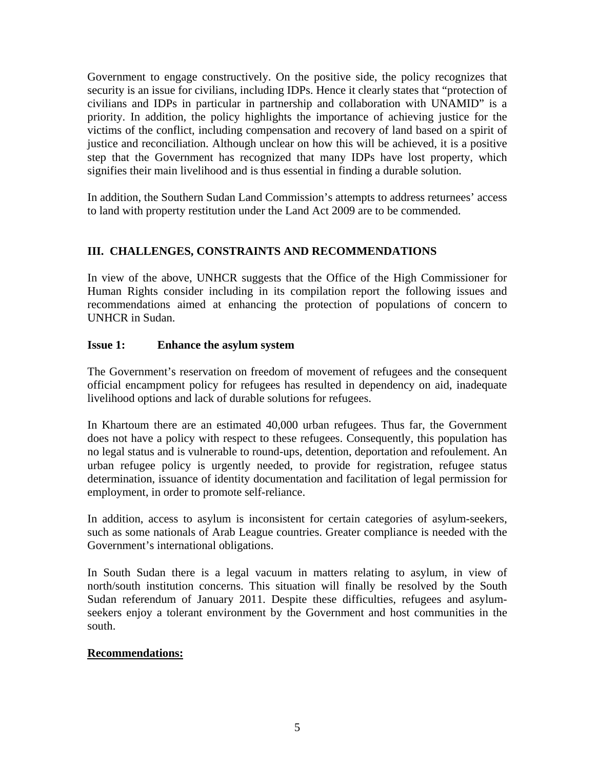Government to engage constructively. On the positive side, the policy recognizes that security is an issue for civilians, including IDPs. Hence it clearly states that "protection of civilians and IDPs in particular in partnership and collaboration with UNAMID" is a priority. In addition, the policy highlights the importance of achieving justice for the victims of the conflict, including compensation and recovery of land based on a spirit of justice and reconciliation. Although unclear on how this will be achieved, it is a positive step that the Government has recognized that many IDPs have lost property, which signifies their main livelihood and is thus essential in finding a durable solution.

In addition, the Southern Sudan Land Commission's attempts to address returnees' access to land with property restitution under the Land Act 2009 are to be commended.

# **III. CHALLENGES, CONSTRAINTS AND RECOMMENDATIONS**

In view of the above, UNHCR suggests that the Office of the High Commissioner for Human Rights consider including in its compilation report the following issues and recommendations aimed at enhancing the protection of populations of concern to UNHCR in Sudan.

# **Issue 1: Enhance the asylum system**

The Government's reservation on freedom of movement of refugees and the consequent official encampment policy for refugees has resulted in dependency on aid, inadequate livelihood options and lack of durable solutions for refugees.

In Khartoum there are an estimated 40,000 urban refugees. Thus far, the Government does not have a policy with respect to these refugees. Consequently, this population has no legal status and is vulnerable to round-ups, detention, deportation and refoulement. An urban refugee policy is urgently needed, to provide for registration, refugee status determination, issuance of identity documentation and facilitation of legal permission for employment, in order to promote self-reliance.

In addition, access to asylum is inconsistent for certain categories of asylum-seekers, such as some nationals of Arab League countries. Greater compliance is needed with the Government's international obligations.

In South Sudan there is a legal vacuum in matters relating to asylum, in view of north/south institution concerns. This situation will finally be resolved by the South Sudan referendum of January 2011. Despite these difficulties, refugees and asylumseekers enjoy a tolerant environment by the Government and host communities in the south.

### **Recommendations:**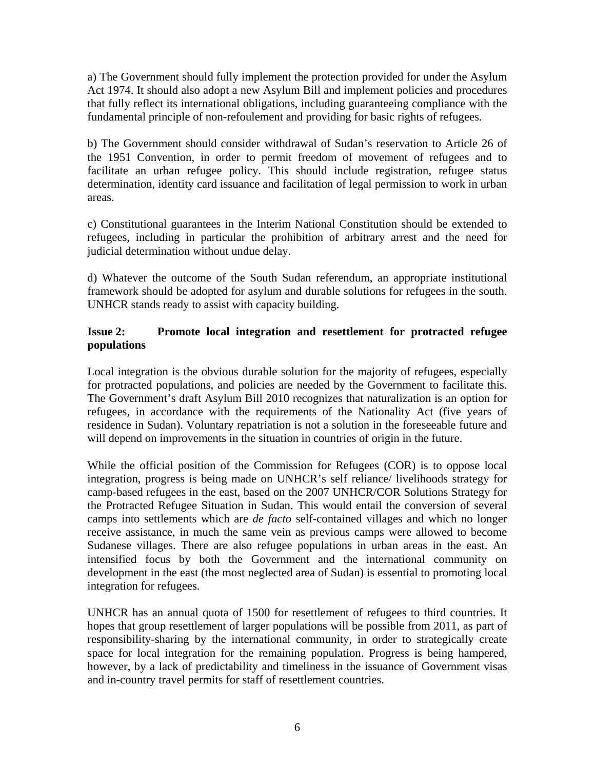a) The Government should fully implement the protection provided for under the Asylum Act 1974. It should also adopt a new Asylum Bill and implement policies and procedures that fully reflect its international obligations, including guaranteeing compliance with the fundamental principle of non-refoulement and providing for basic rights of refugees.

b) The Government should consider withdrawal of Sudan's reservation to Article 26 of the 1951 Convention, in order to permit freedom of movement of refugees and to facilitate an urban refugee policy. This should include registration, refugee status determination, identity card issuance and facilitation of legal permission to work in urban areas.

c) Constitutional guarantees in the Interim National Constitution should be extended to refugees, including in particular the prohibition of arbitrary arrest and the need for judicial determination without undue delay.

d) Whatever the outcome of the South Sudan referendum, an appropriate institutional framework should be adopted for asylum and durable solutions for refugees in the south. UNHCR stands ready to assist with capacity building.

### **Issue 2: Promote local integration and resettlement for protracted refugee populations**

Local integration is the obvious durable solution for the majority of refugees, especially for protracted populations, and policies are needed by the Government to facilitate this. The Government's draft Asylum Bill 2010 recognizes that naturalization is an option for refugees, in accordance with the requirements of the Nationality Act (five years of residence in Sudan). Voluntary repatriation is not a solution in the foreseeable future and will depend on improvements in the situation in countries of origin in the future.

While the official position of the Commission for Refugees (COR) is to oppose local integration, progress is being made on UNHCR's self reliance/ livelihoods strategy for camp-based refugees in the east, based on the 2007 UNHCR/COR Solutions Strategy for the Protracted Refugee Situation in Sudan. This would entail the conversion of several camps into settlements which are *de facto* self-contained villages and which no longer receive assistance, in much the same vein as previous camps were allowed to become Sudanese villages. There are also refugee populations in urban areas in the east. An intensified focus by both the Government and the international community on development in the east (the most neglected area of Sudan) is essential to promoting local integration for refugees.

UNHCR has an annual quota of 1500 for resettlement of refugees to third countries. It hopes that group resettlement of larger populations will be possible from 2011, as part of responsibility-sharing by the international community, in order to strategically create space for local integration for the remaining population. Progress is being hampered, however, by a lack of predictability and timeliness in the issuance of Government visas and in-country travel permits for staff of resettlement countries.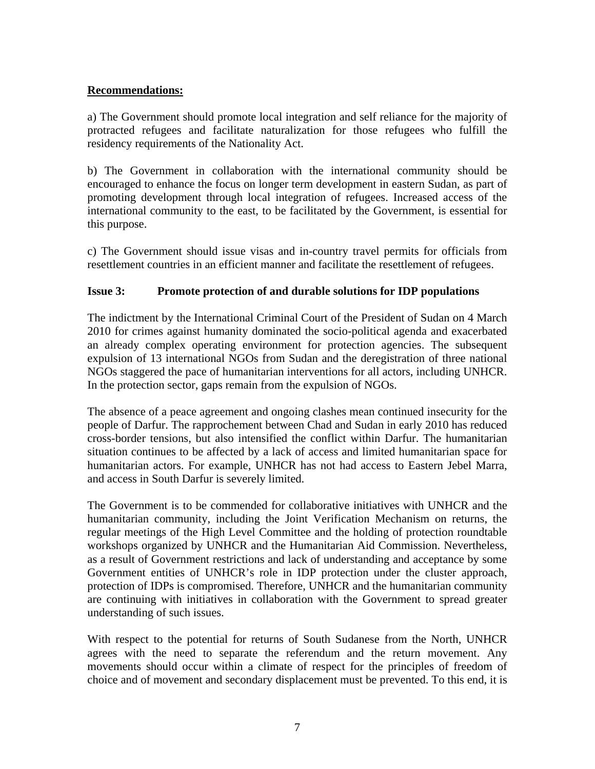#### **Recommendations:**

a) The Government should promote local integration and self reliance for the majority of protracted refugees and facilitate naturalization for those refugees who fulfill the residency requirements of the Nationality Act.

b) The Government in collaboration with the international community should be encouraged to enhance the focus on longer term development in eastern Sudan, as part of promoting development through local integration of refugees. Increased access of the international community to the east, to be facilitated by the Government, is essential for this purpose.

c) The Government should issue visas and in-country travel permits for officials from resettlement countries in an efficient manner and facilitate the resettlement of refugees.

### **Issue 3: Promote protection of and durable solutions for IDP populations**

The indictment by the International Criminal Court of the President of Sudan on 4 March 2010 for crimes against humanity dominated the socio-political agenda and exacerbated an already complex operating environment for protection agencies. The subsequent expulsion of 13 international NGOs from Sudan and the deregistration of three national NGOs staggered the pace of humanitarian interventions for all actors, including UNHCR. In the protection sector, gaps remain from the expulsion of NGOs.

The absence of a peace agreement and ongoing clashes mean continued insecurity for the people of Darfur. The rapprochement between Chad and Sudan in early 2010 has reduced cross-border tensions, but also intensified the conflict within Darfur. The humanitarian situation continues to be affected by a lack of access and limited humanitarian space for humanitarian actors. For example, UNHCR has not had access to Eastern Jebel Marra, and access in South Darfur is severely limited.

The Government is to be commended for collaborative initiatives with UNHCR and the humanitarian community, including the Joint Verification Mechanism on returns, the regular meetings of the High Level Committee and the holding of protection roundtable workshops organized by UNHCR and the Humanitarian Aid Commission. Nevertheless, as a result of Government restrictions and lack of understanding and acceptance by some Government entities of UNHCR's role in IDP protection under the cluster approach, protection of IDPs is compromised. Therefore, UNHCR and the humanitarian community are continuing with initiatives in collaboration with the Government to spread greater understanding of such issues.

With respect to the potential for returns of South Sudanese from the North, UNHCR agrees with the need to separate the referendum and the return movement. Any movements should occur within a climate of respect for the principles of freedom of choice and of movement and secondary displacement must be prevented. To this end, it is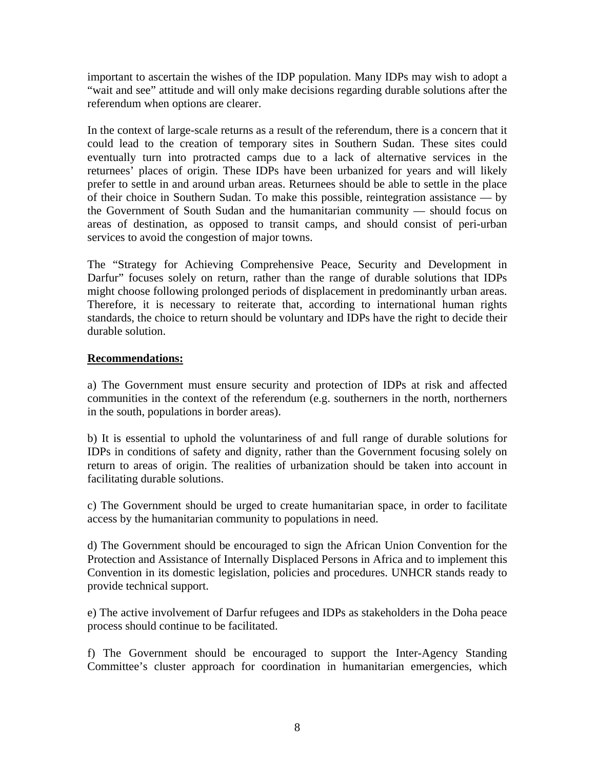important to ascertain the wishes of the IDP population. Many IDPs may wish to adopt a "wait and see" attitude and will only make decisions regarding durable solutions after the referendum when options are clearer.

In the context of large-scale returns as a result of the referendum, there is a concern that it could lead to the creation of temporary sites in Southern Sudan. These sites could eventually turn into protracted camps due to a lack of alternative services in the returnees' places of origin. These IDPs have been urbanized for years and will likely prefer to settle in and around urban areas. Returnees should be able to settle in the place of their choice in Southern Sudan. To make this possible, reintegration assistance — by the Government of South Sudan and the humanitarian community — should focus on areas of destination, as opposed to transit camps, and should consist of peri-urban services to avoid the congestion of major towns.

The "Strategy for Achieving Comprehensive Peace, Security and Development in Darfur" focuses solely on return, rather than the range of durable solutions that IDPs might choose following prolonged periods of displacement in predominantly urban areas. Therefore, it is necessary to reiterate that, according to international human rights standards, the choice to return should be voluntary and IDPs have the right to decide their durable solution.

#### **Recommendations:**

a) The Government must ensure security and protection of IDPs at risk and affected communities in the context of the referendum (e.g. southerners in the north, northerners in the south, populations in border areas).

b) It is essential to uphold the voluntariness of and full range of durable solutions for IDPs in conditions of safety and dignity, rather than the Government focusing solely on return to areas of origin. The realities of urbanization should be taken into account in facilitating durable solutions.

c) The Government should be urged to create humanitarian space, in order to facilitate access by the humanitarian community to populations in need.

d) The Government should be encouraged to sign the African Union Convention for the Protection and Assistance of Internally Displaced Persons in Africa and to implement this Convention in its domestic legislation, policies and procedures. UNHCR stands ready to provide technical support.

e) The active involvement of Darfur refugees and IDPs as stakeholders in the Doha peace process should continue to be facilitated.

f) The Government should be encouraged to support the Inter-Agency Standing Committee's cluster approach for coordination in humanitarian emergencies, which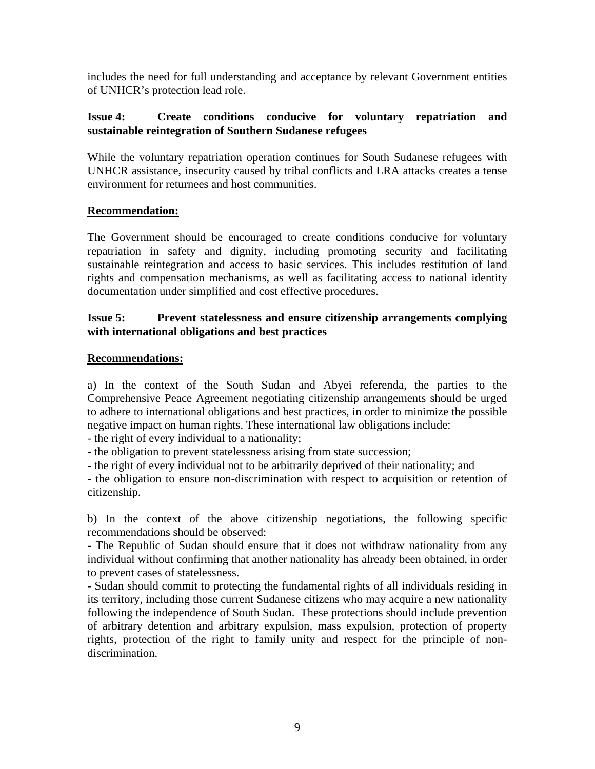includes the need for full understanding and acceptance by relevant Government entities of UNHCR's protection lead role.

#### **Issue 4: Create conditions conducive for voluntary repatriation and sustainable reintegration of Southern Sudanese refugees**

While the voluntary repatriation operation continues for South Sudanese refugees with UNHCR assistance, insecurity caused by tribal conflicts and LRA attacks creates a tense environment for returnees and host communities.

### **Recommendation:**

The Government should be encouraged to create conditions conducive for voluntary repatriation in safety and dignity, including promoting security and facilitating sustainable reintegration and access to basic services. This includes restitution of land rights and compensation mechanisms, as well as facilitating access to national identity documentation under simplified and cost effective procedures.

#### **Issue 5: Prevent statelessness and ensure citizenship arrangements complying with international obligations and best practices**

#### **Recommendations:**

a) In the context of the South Sudan and Abyei referenda, the parties to the Comprehensive Peace Agreement negotiating citizenship arrangements should be urged to adhere to international obligations and best practices, in order to minimize the possible negative impact on human rights. These international law obligations include:

- the right of every individual to a nationality;

- the obligation to prevent statelessness arising from state succession;

- the right of every individual not to be arbitrarily deprived of their nationality; and

- the obligation to ensure non-discrimination with respect to acquisition or retention of citizenship.

b) In the context of the above citizenship negotiations, the following specific recommendations should be observed:

- The Republic of Sudan should ensure that it does not withdraw nationality from any individual without confirming that another nationality has already been obtained, in order to prevent cases of statelessness.

- Sudan should commit to protecting the fundamental rights of all individuals residing in its territory, including those current Sudanese citizens who may acquire a new nationality following the independence of South Sudan. These protections should include prevention of arbitrary detention and arbitrary expulsion, mass expulsion, protection of property rights, protection of the right to family unity and respect for the principle of nondiscrimination.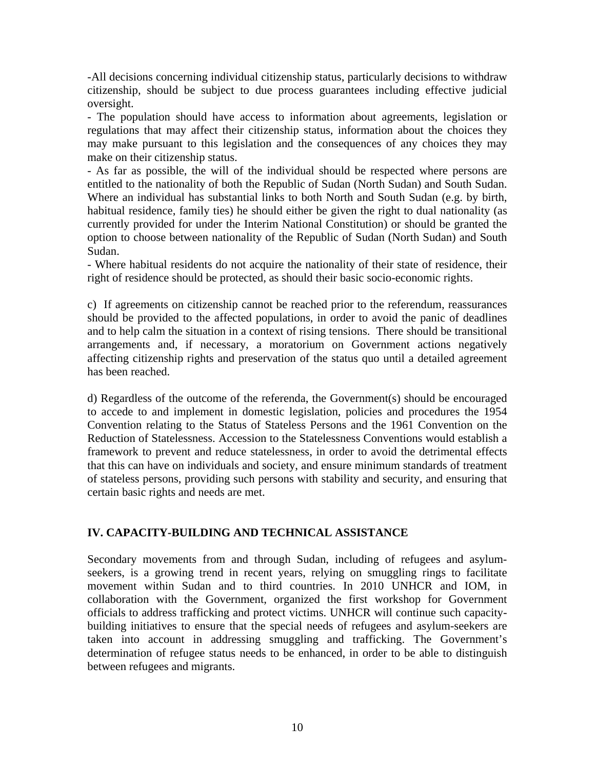-All decisions concerning individual citizenship status, particularly decisions to withdraw citizenship, should be subject to due process guarantees including effective judicial oversight.

- The population should have access to information about agreements, legislation or regulations that may affect their citizenship status, information about the choices they may make pursuant to this legislation and the consequences of any choices they may make on their citizenship status.

- As far as possible, the will of the individual should be respected where persons are entitled to the nationality of both the Republic of Sudan (North Sudan) and South Sudan. Where an individual has substantial links to both North and South Sudan (e.g. by birth, habitual residence, family ties) he should either be given the right to dual nationality (as currently provided for under the Interim National Constitution) or should be granted the option to choose between nationality of the Republic of Sudan (North Sudan) and South Sudan.

- Where habitual residents do not acquire the nationality of their state of residence, their right of residence should be protected, as should their basic socio-economic rights.

c) If agreements on citizenship cannot be reached prior to the referendum, reassurances should be provided to the affected populations, in order to avoid the panic of deadlines and to help calm the situation in a context of rising tensions. There should be transitional arrangements and, if necessary, a moratorium on Government actions negatively affecting citizenship rights and preservation of the status quo until a detailed agreement has been reached.

d) Regardless of the outcome of the referenda, the Government(s) should be encouraged to accede to and implement in domestic legislation, policies and procedures the 1954 Convention relating to the Status of Stateless Persons and the 1961 Convention on the Reduction of Statelessness. Accession to the Statelessness Conventions would establish a framework to prevent and reduce statelessness, in order to avoid the detrimental effects that this can have on individuals and society, and ensure minimum standards of treatment of stateless persons, providing such persons with stability and security, and ensuring that certain basic rights and needs are met.

### **IV. CAPACITY-BUILDING AND TECHNICAL ASSISTANCE**

Secondary movements from and through Sudan, including of refugees and asylumseekers, is a growing trend in recent years, relying on smuggling rings to facilitate movement within Sudan and to third countries. In 2010 UNHCR and IOM, in collaboration with the Government, organized the first workshop for Government officials to address trafficking and protect victims. UNHCR will continue such capacitybuilding initiatives to ensure that the special needs of refugees and asylum-seekers are taken into account in addressing smuggling and trafficking. The Government's determination of refugee status needs to be enhanced, in order to be able to distinguish between refugees and migrants.